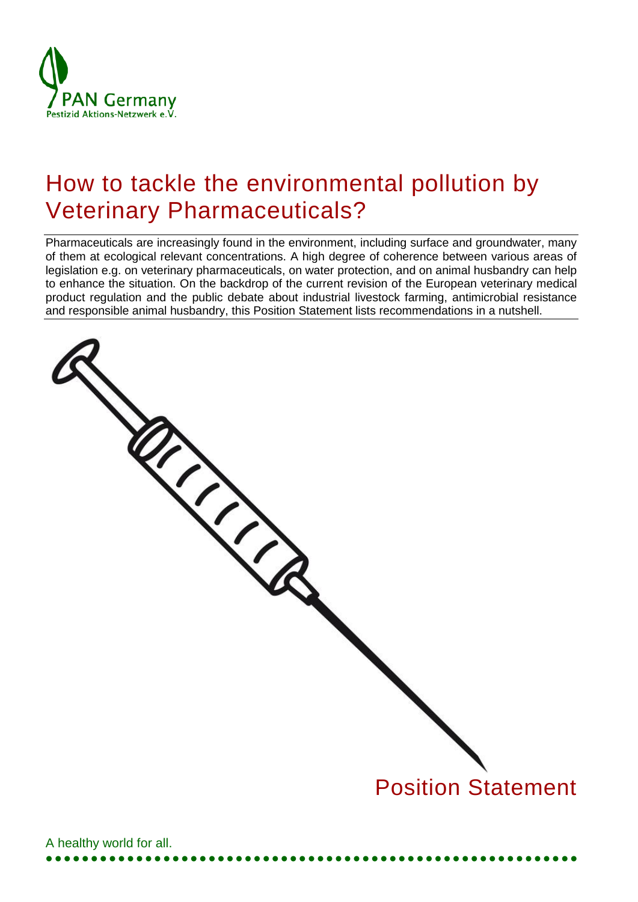

# How to tackle the environmental pollution by Veterinary Pharmaceuticals?

Pharmaceuticals are increasingly found in the environment, including surface and groundwater, many of them at ecological relevant concentrations. A high degree of coherence between various areas of legislation e.g. on veterinary pharmaceuticals, on water protection, and on animal husbandry can help to enhance the situation. On the backdrop of the current revision of the European veterinary medical product regulation and the public debate about industrial livestock farming, antimicrobial resistance and responsible animal husbandry, this Position Statement lists recommendations in a nutshell.

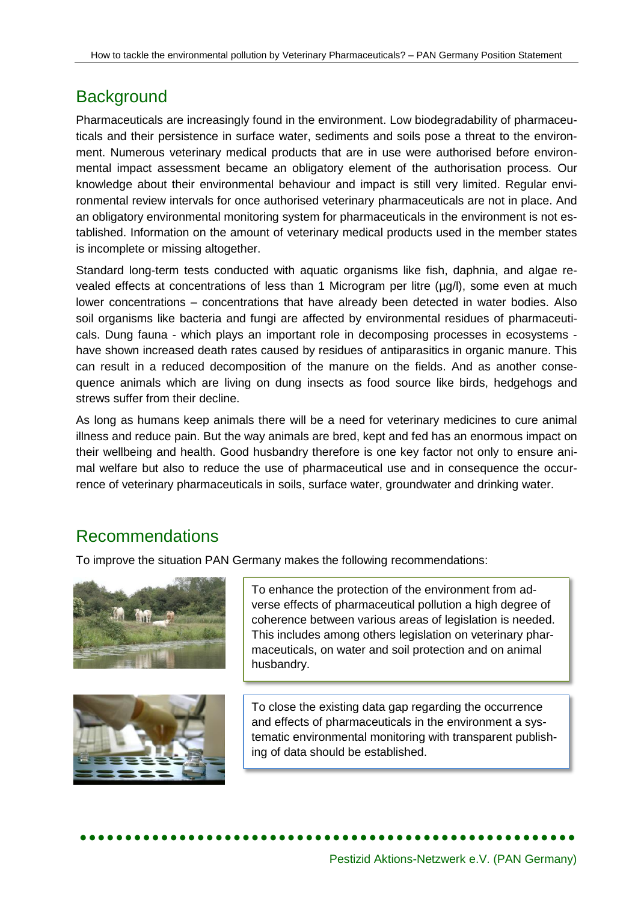## **Background**

Pharmaceuticals are increasingly found in the environment. Low biodegradability of pharmaceuticals and their persistence in surface water, sediments and soils pose a threat to the environment. Numerous veterinary medical products that are in use were authorised before environmental impact assessment became an obligatory element of the authorisation process. Our knowledge about their environmental behaviour and impact is still very limited. Regular environmental review intervals for once authorised veterinary pharmaceuticals are not in place. And an obligatory environmental monitoring system for pharmaceuticals in the environment is not established. Information on the amount of veterinary medical products used in the member states is incomplete or missing altogether.

Standard long-term tests conducted with aquatic organisms like fish, daphnia, and algae revealed effects at concentrations of less than 1 Microgram per litre (µg/l), some even at much lower concentrations – concentrations that have already been detected in water bodies. Also soil organisms like bacteria and fungi are affected by environmental residues of pharmaceuticals. Dung fauna - which plays an important role in decomposing processes in ecosystems have shown increased death rates caused by residues of antiparasitics in organic manure. This can result in a reduced decomposition of the manure on the fields. And as another consequence animals which are living on dung insects as food source like birds, hedgehogs and strews suffer from their decline.

As long as humans keep animals there will be a need for veterinary medicines to cure animal illness and reduce pain. But the way animals are bred, kept and fed has an enormous impact on their wellbeing and health. Good husbandry therefore is one key factor not only to ensure animal welfare but also to reduce the use of pharmaceutical use and in consequence the occurrence of veterinary pharmaceuticals in soils, surface water, groundwater and drinking water.

# Recommendations

To improve the situation PAN Germany makes the following recommendations:





To enhance the protection of the environment from adverse effects of pharmaceutical pollution a high degree of coherence between various areas of legislation is needed. This includes among others legislation on veterinary pharmaceuticals, on water and soil protection and on animal husbandry.

To close the existing data gap regarding the occurrence and effects of pharmaceuticals in the environment a systematic environmental monitoring with transparent publishing of data should be established.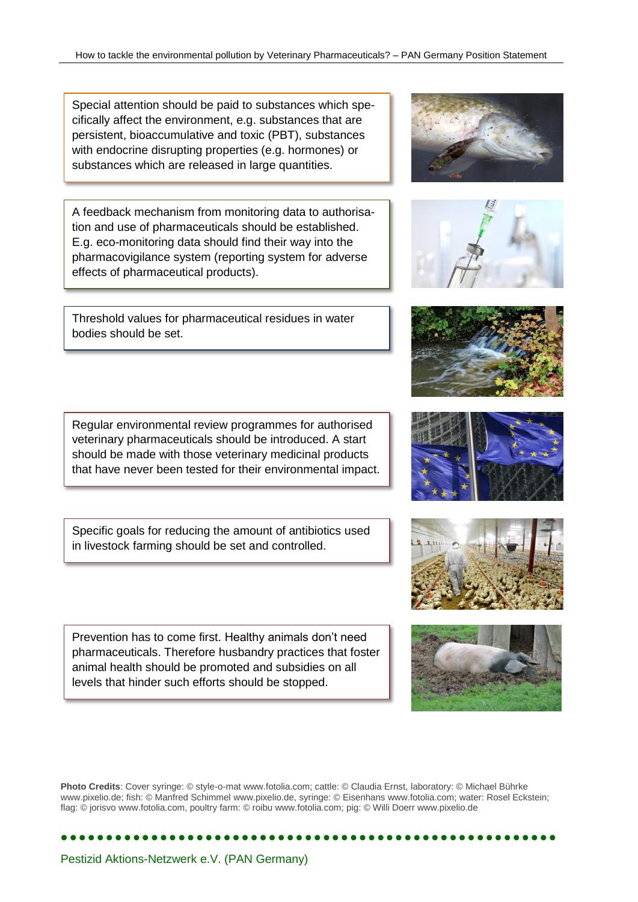Special attention should be paid to substances which specifically affect the environment, e.g. substances that are persistent, bioaccumulative and toxic (PBT), substances with endocrine disrupting properties (e.g. hormones) or substances which are released in large quantities.

A feedback mechanism from monitoring data to authorisation and use of pharmaceuticals should be established. E.g. eco-monitoring data should find their way into the pharmacovigilance system (reporting system for [adverse](http://en.wikipedia.org/wiki/Adverse_effect_%28medicine%29)  [effects](http://en.wikipedia.org/wiki/Adverse_effect_%28medicine%29) of [pharmaceutical products\)](http://en.wikipedia.org/wiki/Pharmaceutical_drug).

Threshold values for pharmaceutical residues in water bodies should be set.

veterinary pharmaceuticals should be introduced. A start should be made with those veterinary medicinal products that have never been tested for their environmental impact.

Regular environmental review programmes for authorised

Specific goals for reducing the amount of antibiotics used in livestock farming should be set and controlled.

Prevention has to come first. Healthy animals don't need pharmaceuticals. Therefore husbandry practices that foster animal health should be promoted and subsidies on all levels that hinder such efforts should be stopped.

**Photo Credits**: Cover syringe: © style-o-mat www.fotolia.com; cattle: © Claudia Ernst, laboratory: © Michael Bührke www.pixelio.de; fish: © Manfred Schimmel www.pixelio.de, syringe: © Eisenhans www.fotolia.com; water: Rosel Eckstein; flag: © jorisvo www.fotolia.com, poultry farm: © roibu www.fotolia.com; pig: © Willi Doerr www.pixelio.de













#### Pestizid Aktions-Netzwerk e.V. (PAN Germany)